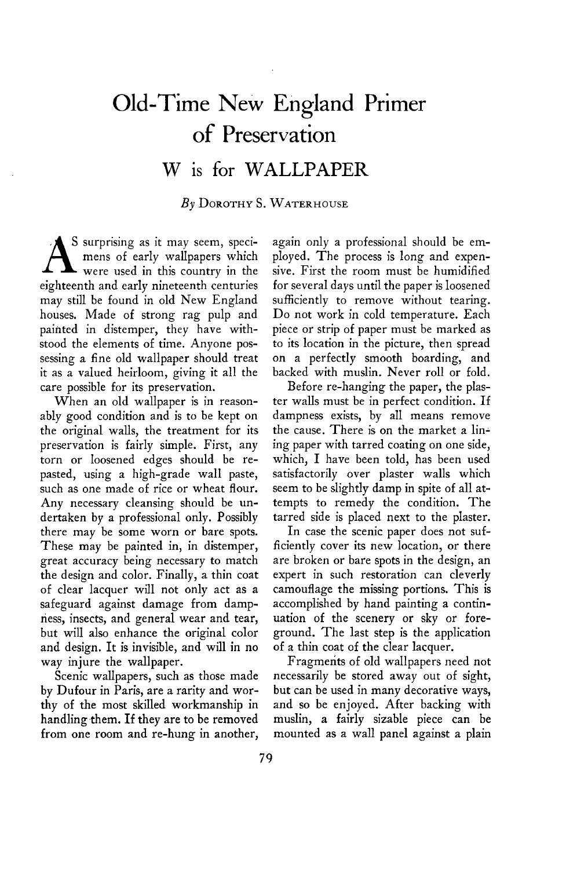## **Old-Time New England Primer of Preservation**

## **W is for WALLPAPER**

## **By DOROTHY S. WATERHOUSE**

**S A surprising as it may seem, speci-were used in this country in the mens of early wallpapers which eighteenth and early nineteenth centuries may still be found in old New England houses. Made of strong rag pulp and painted in distemper, they have withstood the elements of time. Anyone possessing a fine old wallpaper should treat it as a valued heirloom, giving it all the care possible for its preservation.** 

**When an old wallpaper is in reasonably good condition and is to be kept on the original walls, the treatment for its preservation is fairly simple. First, any torn or loosened edges should be repasted, using a high-grade wall paste, such as one made of rice or wheat flour. Any necessary cleansing should be undertaken by a professional only. Possibly there may be some worn or bare spots. These may be painted in, in distemper, great accuracy being necessary to match the design and color. Finally, a thin coat of clear lacquer will not only act as a safeguard against damage from dampness, insects, and general wear and tear, but will also enhance the original color and design. It is invisible, and will in no way injure the wallpaper.** 

**Scenic wallpapers, such as those made by Dufour in Paris, are a rarity and worthy of the most skilled workmanship in**  handling them. If they are to be removed **from one room and re-hung in another,**  **again only a professional should be employed. The process is long and expensive. First the room must be humidified for several days until the paper is loosened sufficiently to remove without tearing. Do not work in cold temperature. Each piece or strip of paper must be marked as to its location in the picture, then spread on a perfectly smooth boarding, and backed with muslin. Never roll or fold.** 

**Before re-hanging the paper, the plaster walls must be in perfect condition. If dampness exists, by all means remove the cause. There is on the market a lining paper with tarred coating on one side, which, I have been told, has been used satisfactorily over plaster walls which seem to be slightly damp in spite of all attempts to remedy the condition. The tarred side is placed next to the plaster.** 

**In case the scenic paper does not sufficiently cover its new location, or there are broken or bare spots in the design, an expert in such restoration can cleverly camouflage the missing portions. This is accomplished by hand painting a continuation of the scenery or sky or foreground. The last step is the application of a thin coat of the clear lacquer.** 

**Fragments of old wallpapers need not necessarily be stored away out of sight, but can be used in many decorative ways, and so be enjoyed. After backing with muslin, a fairly sizable piece can be mounted as a wall panel against a plain**